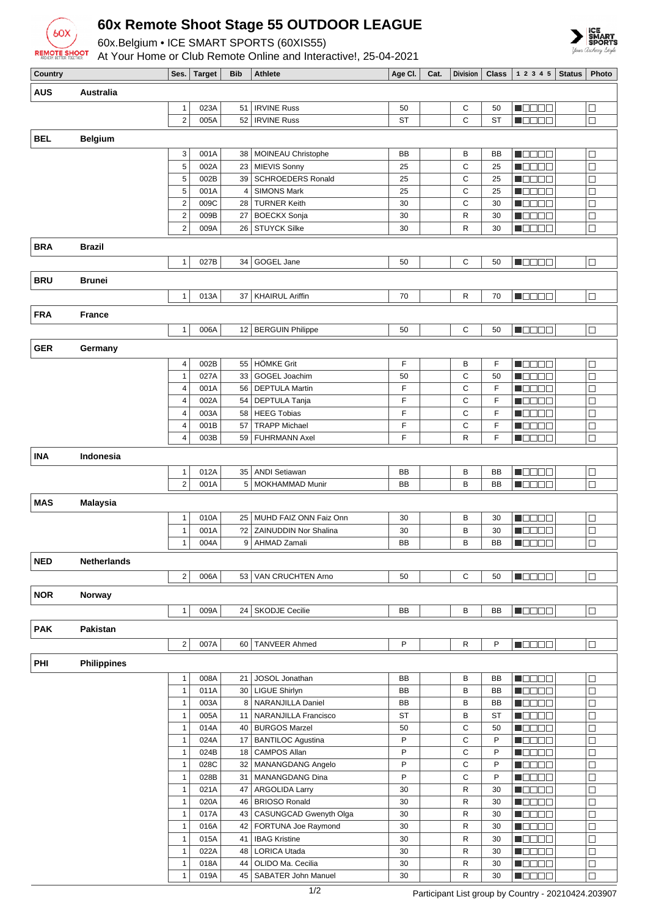

## **60x Remote Shoot Stage 55 OUTDOOR LEAGUE**

60x.Belgium • ICE SMART SPORTS (60XIS55)

At Your Home or Club Remote Online and Interactive!, 25-04-2021



| Country    |                    |                                | Ses.   Target | Bib             | Athlete                                   | Age Cl.   | Cat. | Division     |                 | <b>Class</b> $ 12345 $ Status                | Photo            |
|------------|--------------------|--------------------------------|---------------|-----------------|-------------------------------------------|-----------|------|--------------|-----------------|----------------------------------------------|------------------|
| AUS        | Australia          |                                |               |                 |                                           |           |      |              |                 |                                              |                  |
|            |                    |                                | 023A          |                 | <b>IRVINE Russ</b>                        | 50        |      |              |                 |                                              |                  |
|            |                    | $\mathbf{1}$<br>$\overline{2}$ | 005A          | 51              | 52   IRVINE Russ                          | <b>ST</b> |      | С<br>C       | 50<br><b>ST</b> | n oo oo a                                    | $\Box$<br>$\Box$ |
|            |                    |                                |               |                 |                                           |           |      |              |                 | N DE BEL                                     |                  |
| BEL        | <b>Belgium</b>     |                                |               |                 |                                           |           |      |              |                 |                                              |                  |
|            |                    | 3                              | 001A          | 38              | MOINEAU Christophe                        | <b>BB</b> |      | B            | BB              | n da dia                                     | $\Box$           |
|            |                    | 5                              | 002A          | 23              | MIEVIS Sonny                              | 25        |      | C            | 25              | M B B B B                                    | $\Box$           |
|            |                    | 5                              | 002B          | 39              | <b>SCHROEDERS Ronald</b>                  | 25        |      | C            | 25              | <b>M</b> OOOO                                | □                |
|            |                    | 5                              | 001A          | 4               | <b>SIMONS Mark</b>                        | 25        |      | C            | 25              | $\blacksquare$ $\square$ $\square$ $\square$ | $\Box$           |
|            |                    | $\mathbf 2$                    | 009C          | 28              | <b>TURNER Keith</b>                       | 30        |      | C            | 30              | N E E E                                      | $\Box$           |
|            |                    | $\overline{c}$                 | 009B          | 27              | <b>BOECKX Sonja</b>                       | 30        |      | R            | 30              | M O O O O                                    | $\Box$           |
|            |                    | $\overline{2}$                 | 009A          |                 | 26   STUYCK Silke                         | 30        |      | $\mathsf{R}$ | 30              | MOOOO                                        | $\Box$           |
| <b>BRA</b> | <b>Brazil</b>      |                                |               |                 |                                           |           |      |              |                 |                                              |                  |
|            |                    | $\mathbf{1}$                   | 027B          | 34              | GOGEL Jane                                | 50        |      | C            | 50              | <b>M</b> OOOO                                | $\Box$           |
|            |                    |                                |               |                 |                                           |           |      |              |                 |                                              |                  |
| BRU        | <b>Brunei</b>      |                                |               |                 |                                           |           |      |              |                 |                                              |                  |
|            |                    | $\mathbf{1}$                   | 013A          | 37              | <b>KHAIRUL Ariffin</b>                    | 70        |      | R            | 70              | n oo oo a                                    | $\Box$           |
|            |                    |                                |               |                 |                                           |           |      |              |                 |                                              |                  |
| FRA        | <b>France</b>      |                                |               |                 |                                           |           |      |              |                 |                                              |                  |
|            |                    | $\mathbf{1}$                   | 006A          |                 | 12   BERGUIN Philippe                     | 50        |      | С            | 50              | MODOO                                        | $\Box$           |
| <b>GER</b> | Germany            |                                |               |                 |                                           |           |      |              |                 |                                              |                  |
|            |                    | 4                              | 002B          |                 | 55 HÖMKE Grit                             | F         |      | B            | F               | M O O O O                                    | $\Box$           |
|            |                    | $\mathbf{1}$                   | 027A          | 33              | GOGEL Joachim                             | 50        |      | C            | 50              | n oo da                                      | $\Box$           |
|            |                    | 4                              | 001A          |                 | 56   DEPTULA Martin                       | F         |      | C            | F               | HOOOO                                        | $\Box$           |
|            |                    | 4                              | 002A          |                 | 54   DEPTULA Tanja                        | F         |      | C            | F               | <b>M</b> ODOO                                | $\Box$           |
|            |                    | 4                              | 003A          | 58              | <b>HEEG Tobias</b>                        | F         |      | C            | F               | M O O O O                                    | $\Box$           |
|            |                    | 4                              | 001B          | 57              | <b>TRAPP Michael</b>                      | F         |      | C            | F               | MOOOO                                        | $\Box$           |
|            |                    | 4                              | 003B          | 59              | <b>FUHRMANN Axel</b>                      | F         |      | $\mathsf{R}$ | F               | n a ga a g                                   | $\Box$           |
|            |                    |                                |               |                 |                                           |           |      |              |                 |                                              |                  |
| <b>INA</b> | Indonesia          |                                |               |                 |                                           |           |      |              |                 |                                              |                  |
|            |                    | 1                              | 012A          | 35              | <b>ANDI Setiawan</b>                      | BB        |      | В            | BB              | N DE SE                                      | $\Box$           |
|            |                    | $\overline{2}$                 | 001A          |                 | 5   MOKHAMMAD Munir                       | BB        |      | B            | BB              | M DE BE                                      | $\Box$           |
| MAS        | <b>Malaysia</b>    |                                |               |                 |                                           |           |      |              |                 |                                              |                  |
|            |                    | $\mathbf{1}$                   | 010A          | 25              | MUHD FAIZ ONN Faiz Onn                    | 30        |      | B            | 30              | M B B B B                                    | $\Box$           |
|            |                    | $\mathbf{1}$                   | 001A          | $^{22}$         | <b>ZAINUDDIN Nor Shalina</b>              | 30        |      | B            | 30              | n de ele                                     | $\Box$           |
|            |                    | $\mathbf{1}$                   | 004A          | 9 <sup>1</sup>  | AHMAD Zamali                              | BB        |      | B            | BB              | T DO DE                                      | $\Box$           |
|            |                    |                                |               |                 |                                           |           |      |              |                 |                                              |                  |
| <b>NED</b> | Netherlands        |                                |               |                 |                                           |           |      |              |                 |                                              |                  |
|            |                    | $\mathbf{2}$                   | 006A          |                 | 53 VAN CRUCHTEN Arno                      | 50        |      | C            | 50              | <b>N</b> OOOO                                | $\Box$           |
| <b>NOR</b> | Norway             |                                |               |                 |                                           |           |      |              |                 |                                              |                  |
|            |                    |                                |               |                 |                                           |           |      |              |                 |                                              |                  |
|            |                    | $\mathbf{1}$                   | 009A          |                 | 24 SKODJE Cecilie                         | BB        |      | В            | BB              | 8000C                                        | $\Box$           |
| PAK        | Pakistan           |                                |               |                 |                                           |           |      |              |                 |                                              |                  |
|            |                    | $\overline{2}$                 | 007A          | 60              | <b>TANVEER Ahmed</b>                      | P         |      | R            | P               | $\blacksquare$<br>$\blacksquare$             | $\Box$           |
|            |                    |                                |               |                 |                                           |           |      |              |                 |                                              |                  |
| PHI        | <b>Philippines</b> |                                |               |                 |                                           |           |      |              |                 |                                              |                  |
|            |                    | $\mathbf{1}$                   | 008A          | 21              | JOSOL Jonathan                            | BB        |      | В            | BB              | n do de                                      | $\Box$           |
|            |                    | $\mathbf{1}$                   | 011A          |                 | 30   LIGUE Shirlyn                        | BB        |      | B            | BB              | N DE SE                                      | $\Box$           |
|            |                    | $\mathbf{1}$                   | 003A          |                 | 8 NARANJILLA Daniel                       | BB        |      | B            | BB              | M DO DO                                      | $\Box$           |
|            |                    | $\mathbf{1}$                   | 005A          |                 | 11   NARANJILLA Francisco                 | <b>ST</b> |      | B            | <b>ST</b>       | M OO OO                                      | $\Box$           |
|            |                    | $\mathbf{1}$                   | 014A          |                 | 40 BURGOS Marzel                          | 50        |      | $\mathsf C$  | 50              | $\blacksquare$ $\square$ $\square$ $\square$ | $\Box$           |
|            |                    | $\mathbf{1}$                   | 024A          |                 | 17   BANTILOC Agustina                    | P         |      | C            | P               | <b>M</b> ODOO                                | $\Box$           |
|            |                    | $\mathbf{1}$                   | 024B          | 18 <sup>1</sup> | <b>CAMPOS Allan</b>                       | P<br>P    |      | C            | P               | <b>MODOO</b>                                 | $\Box$           |
|            |                    | $\mathbf{1}$                   | 028C          |                 | 32   MANANGDANG Angelo<br>MANANGDANG Dina | P         |      | C<br>C       | P<br>P          | Maaaa                                        | $\Box$           |
|            |                    | $\mathbf{1}$<br>$\mathbf{1}$   | 028B          | 31              |                                           | 30        |      | $\mathsf{R}$ | 30              | <b>M</b> OOOO<br><b>Magaa</b>                | $\Box$<br>$\Box$ |
|            |                    | $\mathbf{1}$                   | 021A<br>020A  |                 | 47   ARGOLIDA Larry<br>46 BRIOSO Ronald   | 30        |      | R            | 30              | <b>M</b> ODOO                                | $\Box$           |
|            |                    | $\mathbf{1}$                   | 017A          | 43              | CASUNGCAD Gwenyth Olga                    | 30        |      | $\mathsf R$  | 30              | <b>M</b> ODOO                                | $\Box$           |
|            |                    | $\mathbf{1}$                   | 016A          | 42              | FORTUNA Joe Raymond                       | 30        |      | $\mathsf R$  | 30              | <b>M</b> OOOO                                | $\Box$           |
|            |                    | $\mathbf{1}$                   | 015A          | 41              | <b>IBAG Kristine</b>                      | 30        |      | R            | 30              | <b>Magaa</b>                                 | $\Box$           |
|            |                    | $\mathbf{1}$                   | 022A          |                 | 48   LORICA Utada                         | 30        |      | $\mathsf{R}$ | 30              | <b>M</b> OOOO                                | □                |
|            |                    | $\mathbf{1}$                   | 018A          | 44              | OLIDO Ma. Cecilia                         | 30        |      | R            | 30              | $\blacksquare$                               | П                |

1 019A 45 SABATER John Manuel 30 R 30

**FOODD** 

10